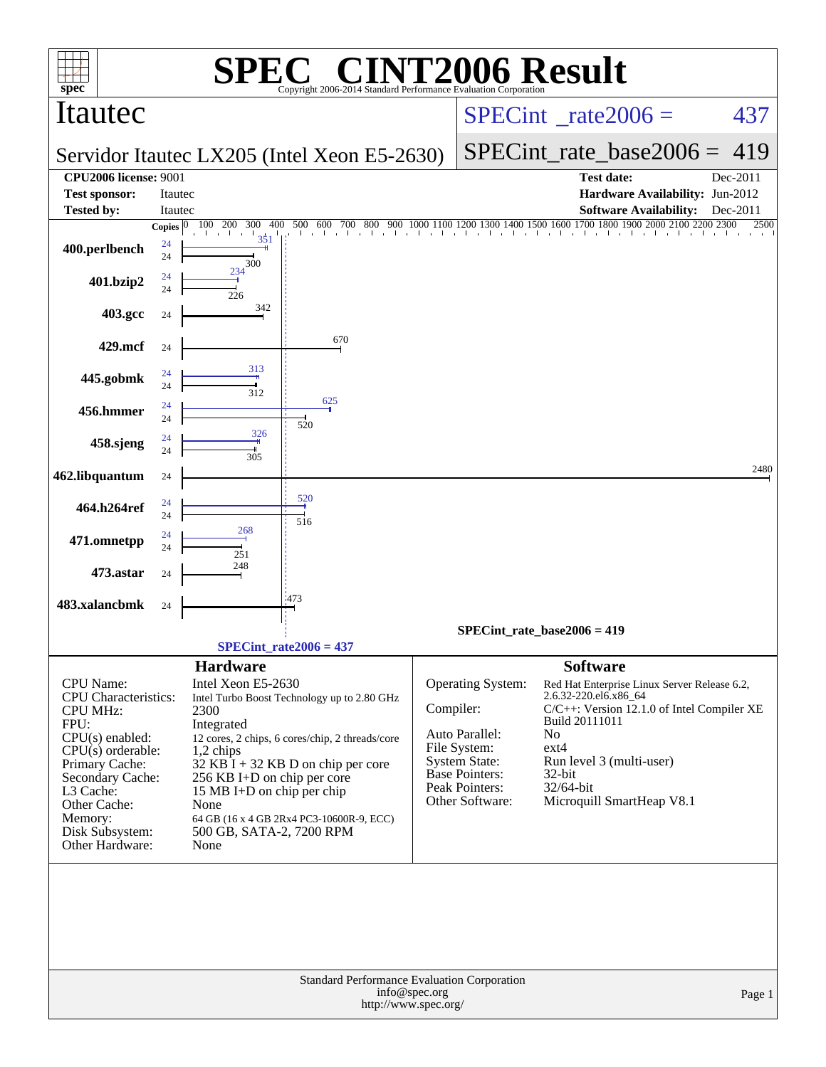| spec <sup>®</sup>                                                                                                                                                                                                                   |              | SPI<br>H)                                                                                                                                                                           | $\bigcap$ $\bigcap$<br>Copyright 2006-2014 Standard Performance Evaluation Corporation                                                                                             |               | <b>INT2006 Result</b>                                                                                                                     |                                                                                                     |                                                                                                                                                     |          |
|-------------------------------------------------------------------------------------------------------------------------------------------------------------------------------------------------------------------------------------|--------------|-------------------------------------------------------------------------------------------------------------------------------------------------------------------------------------|------------------------------------------------------------------------------------------------------------------------------------------------------------------------------------|---------------|-------------------------------------------------------------------------------------------------------------------------------------------|-----------------------------------------------------------------------------------------------------|-----------------------------------------------------------------------------------------------------------------------------------------------------|----------|
| Itautec                                                                                                                                                                                                                             |              |                                                                                                                                                                                     |                                                                                                                                                                                    |               | $SPECint^{\circ}$ <sub>_rate2006</sub> =                                                                                                  |                                                                                                     |                                                                                                                                                     | 437      |
|                                                                                                                                                                                                                                     |              |                                                                                                                                                                                     | Servidor Itautec LX205 (Intel Xeon E5-2630)                                                                                                                                        |               |                                                                                                                                           |                                                                                                     | $SPECint$ rate base2006 =                                                                                                                           | 419      |
| <b>CPU2006 license: 9001</b>                                                                                                                                                                                                        |              |                                                                                                                                                                                     |                                                                                                                                                                                    |               |                                                                                                                                           |                                                                                                     | <b>Test date:</b>                                                                                                                                   | Dec-2011 |
| <b>Test sponsor:</b>                                                                                                                                                                                                                | Itautec      |                                                                                                                                                                                     |                                                                                                                                                                                    |               |                                                                                                                                           |                                                                                                     | Hardware Availability: Jun-2012                                                                                                                     |          |
| <b>Tested by:</b>                                                                                                                                                                                                                   | Itautec      |                                                                                                                                                                                     |                                                                                                                                                                                    |               |                                                                                                                                           |                                                                                                     | <b>Software Availability:</b>                                                                                                                       | Dec-2011 |
|                                                                                                                                                                                                                                     | Copies $ 0 $ | 100 200<br>300<br>400<br>. 1                                                                                                                                                        | 600<br>700<br>500<br>800<br>$\frac{300}{1}$ , $\frac{900}{1}$ , $\frac{100}{1}$                                                                                                    |               |                                                                                                                                           |                                                                                                     | $1000\ 1100\ 1200\ 1300\ 1400\ 1500\ 1600\ 1700\ 1800\ 1900\ 2000\ 2100\ 2200\ 2300$                                                                | 2500     |
| 400.perlbench                                                                                                                                                                                                                       | 24<br>24     | 351<br>300                                                                                                                                                                          |                                                                                                                                                                                    |               |                                                                                                                                           |                                                                                                     |                                                                                                                                                     |          |
| 401.bzip2                                                                                                                                                                                                                           | 24<br>24     | 234<br>226                                                                                                                                                                          |                                                                                                                                                                                    |               |                                                                                                                                           |                                                                                                     |                                                                                                                                                     |          |
| 403.gcc                                                                                                                                                                                                                             | 24           | 342                                                                                                                                                                                 |                                                                                                                                                                                    |               |                                                                                                                                           |                                                                                                     |                                                                                                                                                     |          |
| 429.mcf                                                                                                                                                                                                                             | 24           |                                                                                                                                                                                     | 670                                                                                                                                                                                |               |                                                                                                                                           |                                                                                                     |                                                                                                                                                     |          |
| 445.gobmk                                                                                                                                                                                                                           | 24<br>24     | 313<br>312                                                                                                                                                                          |                                                                                                                                                                                    |               |                                                                                                                                           |                                                                                                     |                                                                                                                                                     |          |
| 456.hmmer                                                                                                                                                                                                                           | 24<br>24     |                                                                                                                                                                                     | 625<br>520                                                                                                                                                                         |               |                                                                                                                                           |                                                                                                     |                                                                                                                                                     |          |
| 458.sjeng                                                                                                                                                                                                                           | 24<br>24     | 326<br>305                                                                                                                                                                          |                                                                                                                                                                                    |               |                                                                                                                                           |                                                                                                     |                                                                                                                                                     |          |
| 462.libquantum                                                                                                                                                                                                                      | 24           |                                                                                                                                                                                     | 520                                                                                                                                                                                |               |                                                                                                                                           |                                                                                                     |                                                                                                                                                     | 2480     |
| 464.h264ref                                                                                                                                                                                                                         | 24<br>24     | 268                                                                                                                                                                                 | 516                                                                                                                                                                                |               |                                                                                                                                           |                                                                                                     |                                                                                                                                                     |          |
| 471.omnetpp                                                                                                                                                                                                                         | 24<br>24     | 251                                                                                                                                                                                 |                                                                                                                                                                                    |               |                                                                                                                                           |                                                                                                     |                                                                                                                                                     |          |
| 473.astar                                                                                                                                                                                                                           | 24           | 248                                                                                                                                                                                 | 1473                                                                                                                                                                               |               |                                                                                                                                           |                                                                                                     |                                                                                                                                                     |          |
| 483.xalancbmk                                                                                                                                                                                                                       | 24           |                                                                                                                                                                                     |                                                                                                                                                                                    |               |                                                                                                                                           |                                                                                                     |                                                                                                                                                     |          |
|                                                                                                                                                                                                                                     |              |                                                                                                                                                                                     |                                                                                                                                                                                    |               | SPECint rate base2006 = $419$                                                                                                             |                                                                                                     |                                                                                                                                                     |          |
|                                                                                                                                                                                                                                     |              |                                                                                                                                                                                     | $SPECint rate2006 = 437$                                                                                                                                                           |               |                                                                                                                                           |                                                                                                     |                                                                                                                                                     |          |
| CPU Name:<br><b>CPU</b> Characteristics:<br><b>CPU MHz:</b><br>FPU:<br>$CPU(s)$ enabled:<br>$CPU(s)$ orderable:<br>Primary Cache:<br>Secondary Cache:<br>L3 Cache:<br>Other Cache:<br>Memory:<br>Disk Subsystem:<br>Other Hardware: |              | <b>Hardware</b><br>Intel Xeon E5-2630<br>2300<br>Integrated<br>$1,2$ chips<br>256 KB I+D on chip per core<br>15 MB I+D on chip per chip<br>None<br>500 GB, SATA-2, 7200 RPM<br>None | Intel Turbo Boost Technology up to 2.80 GHz<br>12 cores, 2 chips, 6 cores/chip, 2 threads/core<br>$32$ KB I + 32 KB D on chip per core<br>64 GB (16 x 4 GB 2Rx4 PC3-10600R-9, ECC) | Compiler:     | Operating System:<br>Auto Parallel:<br>File System:<br><b>System State:</b><br><b>Base Pointers:</b><br>Peak Pointers:<br>Other Software: | <b>Software</b><br>2.6.32-220.el6.x86_64<br>Build 20111011<br>No<br>$ext{4}$<br>32-bit<br>32/64-bit | Red Hat Enterprise Linux Server Release 6.2,<br>C/C++: Version 12.1.0 of Intel Compiler XE<br>Run level 3 (multi-user)<br>Microquill SmartHeap V8.1 |          |
|                                                                                                                                                                                                                                     |              |                                                                                                                                                                                     | Standard Performance Evaluation Corporation<br>http://www.spec.org/                                                                                                                | info@spec.org |                                                                                                                                           |                                                                                                     |                                                                                                                                                     | Page 1   |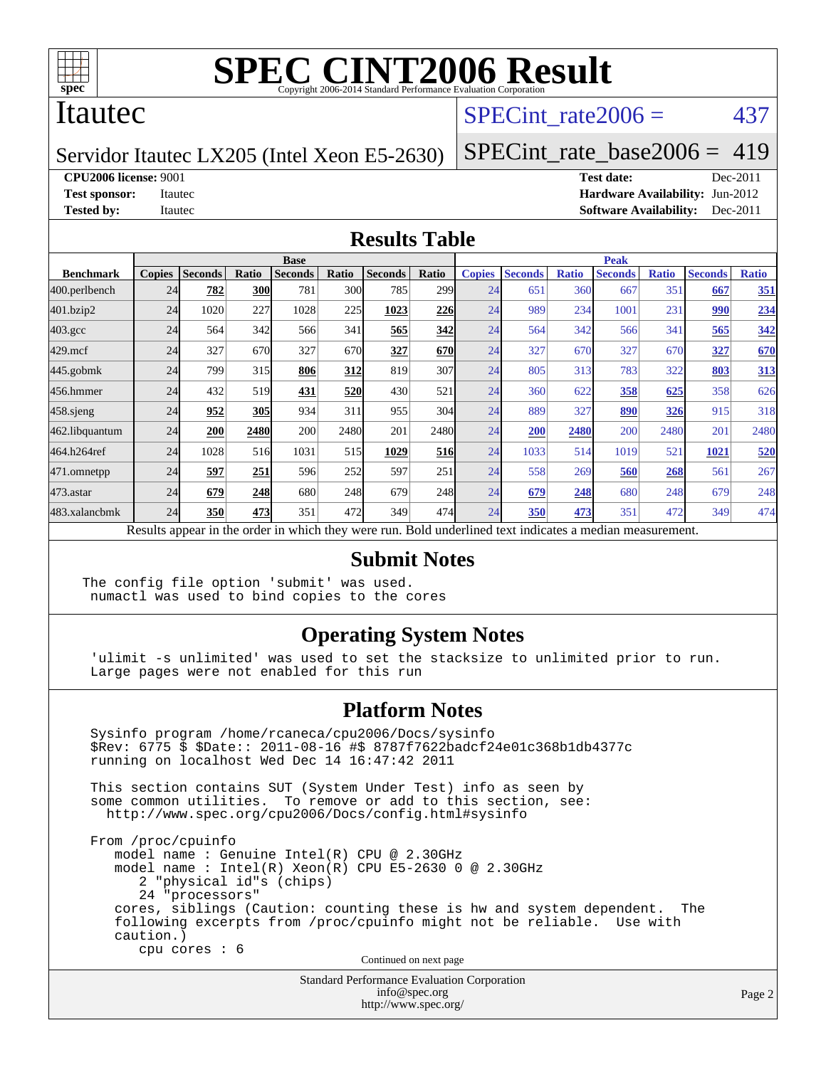

### Itautec

## SPECint rate $2006 = 437$

Servidor Itautec LX205 (Intel Xeon E5-2630)

[SPECint\\_rate\\_base2006 =](http://www.spec.org/auto/cpu2006/Docs/result-fields.html#SPECintratebase2006) 419

**[CPU2006 license:](http://www.spec.org/auto/cpu2006/Docs/result-fields.html#CPU2006license)** 9001 **[Test date:](http://www.spec.org/auto/cpu2006/Docs/result-fields.html#Testdate)** Dec-2011

**[Test sponsor:](http://www.spec.org/auto/cpu2006/Docs/result-fields.html#Testsponsor)** Itautec **[Hardware Availability:](http://www.spec.org/auto/cpu2006/Docs/result-fields.html#HardwareAvailability)** Jun-2012 **[Tested by:](http://www.spec.org/auto/cpu2006/Docs/result-fields.html#Testedby)** Itautec **Italien Contract Contract Contract Contract Contract Contract Contract Contract Contract Contract Contract Contract Contract Contract Contract Contract Contract Contract Contract Contract Contract Con** 

#### **[Results Table](http://www.spec.org/auto/cpu2006/Docs/result-fields.html#ResultsTable)**

|                                                                                                          | <b>Base</b>   |                |            |                |       |                |                  | <b>Peak</b>   |                |              |                |              |                |              |
|----------------------------------------------------------------------------------------------------------|---------------|----------------|------------|----------------|-------|----------------|------------------|---------------|----------------|--------------|----------------|--------------|----------------|--------------|
| <b>Benchmark</b>                                                                                         | <b>Copies</b> | <b>Seconds</b> | Ratio      | <b>Seconds</b> | Ratio | <b>Seconds</b> | Ratio            | <b>Copies</b> | <b>Seconds</b> | <b>Ratio</b> | <b>Seconds</b> | <b>Ratio</b> | <b>Seconds</b> | <b>Ratio</b> |
| 400.perlbench                                                                                            | 24            | 782            | <b>300</b> | 781            | 300   | 785            | 299 <sub>1</sub> | 24            | 651            | 360          | 667            | 351          | 667            | 351          |
| 401.bzip2                                                                                                | 24            | 1020           | 227        | 1028           | 225   | 1023           | 226              | 24            | 989            | 234          | 1001           | 231          | 990            | 234          |
| $403.\mathrm{gcc}$                                                                                       | 24            | 564            | 342        | 566            | 341   | 565            | 342              | 24            | 564            | 342          | 566            | 341          | 565            | 342          |
| $429$ .mcf                                                                                               | 24            | 327            | 670        | 327            | 670   | 327            | 670              | 24            | 327            | 670          | 327            | 670          | 327            | 670          |
| $445$ .gobmk                                                                                             | 24            | 799            | 315        | 806            | 312   | 819            | 307              | 24            | 805            | 313          | 783            | 322          | 803            | <u>313</u>   |
| 456.hmmer                                                                                                | 24            | 432            | 519        | 431            | 520   | 430            | 521              | 24            | 360            | 622          | 358            | 625          | 358            | 626          |
| $458$ .sjeng                                                                                             | 24            | 952            | 305        | 934            | 311   | 955            | 304              | 24            | 889            | 327          | 890            | 326          | 915            | 318          |
| 462.libquantum                                                                                           | 24            | 200            | 2480       | 200            | 2480  | 201            | 2480             | 24            | 200            | 2480         | 200            | 2480         | 201            | 2480         |
| 464.h264ref                                                                                              | 24            | 1028           | 516        | 1031           | 515   | 1029           | 516              | 24            | 1033           | 514          | 1019           | 521          | 1021           | 520          |
| 471.omnetpp                                                                                              | 24            | 597            | 251        | 596            | 252   | 597            | 251              | 24            | 558            | 269          | 560            | 268          | 561            | 267          |
| 473.astar                                                                                                | 24            | 679            | 248        | 680            | 248   | 679            | 248              | 24            | 679            | 248          | 680            | 248          | 679            | 248          |
| 483.xalancbmk                                                                                            | 24            | 350            | 473        | 351            | 472   | 349            | 474              | 24            | 350            | 473          | 351            | 472          | 349            | 474          |
| Results appear in the order in which they were run. Bold underlined text indicates a median measurement. |               |                |            |                |       |                |                  |               |                |              |                |              |                |              |

#### **[Submit Notes](http://www.spec.org/auto/cpu2006/Docs/result-fields.html#SubmitNotes)**

The config file option 'submit' was used. numactl was used to bind copies to the cores

#### **[Operating System Notes](http://www.spec.org/auto/cpu2006/Docs/result-fields.html#OperatingSystemNotes)**

 'ulimit -s unlimited' was used to set the stacksize to unlimited prior to run. Large pages were not enabled for this run

#### **[Platform Notes](http://www.spec.org/auto/cpu2006/Docs/result-fields.html#PlatformNotes)**

 Sysinfo program /home/rcaneca/cpu2006/Docs/sysinfo \$Rev: 6775 \$ \$Date:: 2011-08-16 #\$ 8787f7622badcf24e01c368b1db4377c running on localhost Wed Dec 14 16:47:42 2011 This section contains SUT (System Under Test) info as seen by some common utilities. To remove or add to this section, see: <http://www.spec.org/cpu2006/Docs/config.html#sysinfo> From /proc/cpuinfo model name : Genuine Intel(R) CPU @ 2.30GHz model name : Intel(R) Xeon(R) CPU E5-2630 0 @ 2.30GHz 2 "physical id"s (chips) 24 "processors" cores, siblings (Caution: counting these is hw and system dependent. The following excerpts from /proc/cpuinfo might not be reliable. Use with caution.) cpu cores : 6 Continued on next page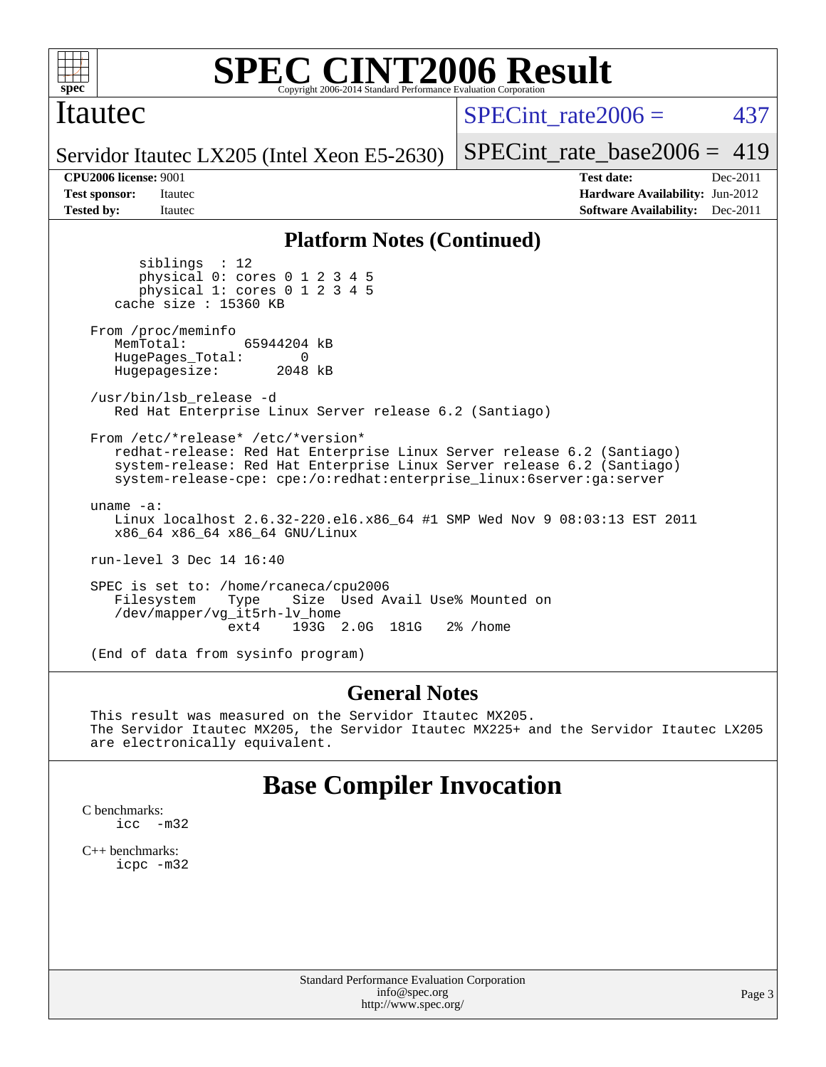

### Itautec

SPECint rate $2006 = 437$ 

Servidor Itautec LX205 (Intel Xeon E5-2630)

[SPECint\\_rate\\_base2006 =](http://www.spec.org/auto/cpu2006/Docs/result-fields.html#SPECintratebase2006)  $419$ 

**[CPU2006 license:](http://www.spec.org/auto/cpu2006/Docs/result-fields.html#CPU2006license)** 9001 **[Test date:](http://www.spec.org/auto/cpu2006/Docs/result-fields.html#Testdate)** Dec-2011 **[Test sponsor:](http://www.spec.org/auto/cpu2006/Docs/result-fields.html#Testsponsor)** Itautec **[Hardware Availability:](http://www.spec.org/auto/cpu2006/Docs/result-fields.html#HardwareAvailability)** Jun-2012 **[Tested by:](http://www.spec.org/auto/cpu2006/Docs/result-fields.html#Testedby)** Itautec **Italien Contract Contract Contract Contract Contract Contract Contract Contract Contract Contract Contract Contract Contract Contract Contract Contract Contract Contract Contract Contract Contract Con** 

#### **[Platform Notes \(Continued\)](http://www.spec.org/auto/cpu2006/Docs/result-fields.html#PlatformNotes)**

 siblings : 12 physical 0: cores 0 1 2 3 4 5 physical 1: cores 0 1 2 3 4 5 cache size : 15360 KB From /proc/meminfo MemTotal: 65944204 kB HugePages\_Total: 0<br>Hugepagesize: 2048 kB Hugepagesize: /usr/bin/lsb\_release -d Red Hat Enterprise Linux Server release 6.2 (Santiago) From /etc/\*release\* /etc/\*version\* redhat-release: Red Hat Enterprise Linux Server release 6.2 (Santiago) system-release: Red Hat Enterprise Linux Server release 6.2 (Santiago) system-release-cpe: cpe:/o:redhat:enterprise\_linux:6server:ga:server uname -a: Linux localhost 2.6.32-220.el6.x86\_64 #1 SMP Wed Nov 9 08:03:13 EST 2011 x86\_64 x86\_64 x86\_64 GNU/Linux run-level 3 Dec 14 16:40 SPEC is set to: /home/rcaneca/cpu2006<br>Filesystem Type Size Used A Type Size Used Avail Use% Mounted on /dev/mapper/vg\_it5rh-lv\_home 193G 2.0G 181G 2% / home

(End of data from sysinfo program)

#### **[General Notes](http://www.spec.org/auto/cpu2006/Docs/result-fields.html#GeneralNotes)**

 This result was measured on the Servidor Itautec MX205. The Servidor Itautec MX205, the Servidor Itautec MX225+ and the Servidor Itautec LX205 are electronically equivalent.

## **[Base Compiler Invocation](http://www.spec.org/auto/cpu2006/Docs/result-fields.html#BaseCompilerInvocation)**

[C benchmarks](http://www.spec.org/auto/cpu2006/Docs/result-fields.html#Cbenchmarks): [icc -m32](http://www.spec.org/cpu2006/results/res2012q3/cpu2006-20120904-24408.flags.html#user_CCbase_intel_icc_5ff4a39e364c98233615fdd38438c6f2)

[C++ benchmarks:](http://www.spec.org/auto/cpu2006/Docs/result-fields.html#CXXbenchmarks) [icpc -m32](http://www.spec.org/cpu2006/results/res2012q3/cpu2006-20120904-24408.flags.html#user_CXXbase_intel_icpc_4e5a5ef1a53fd332b3c49e69c3330699)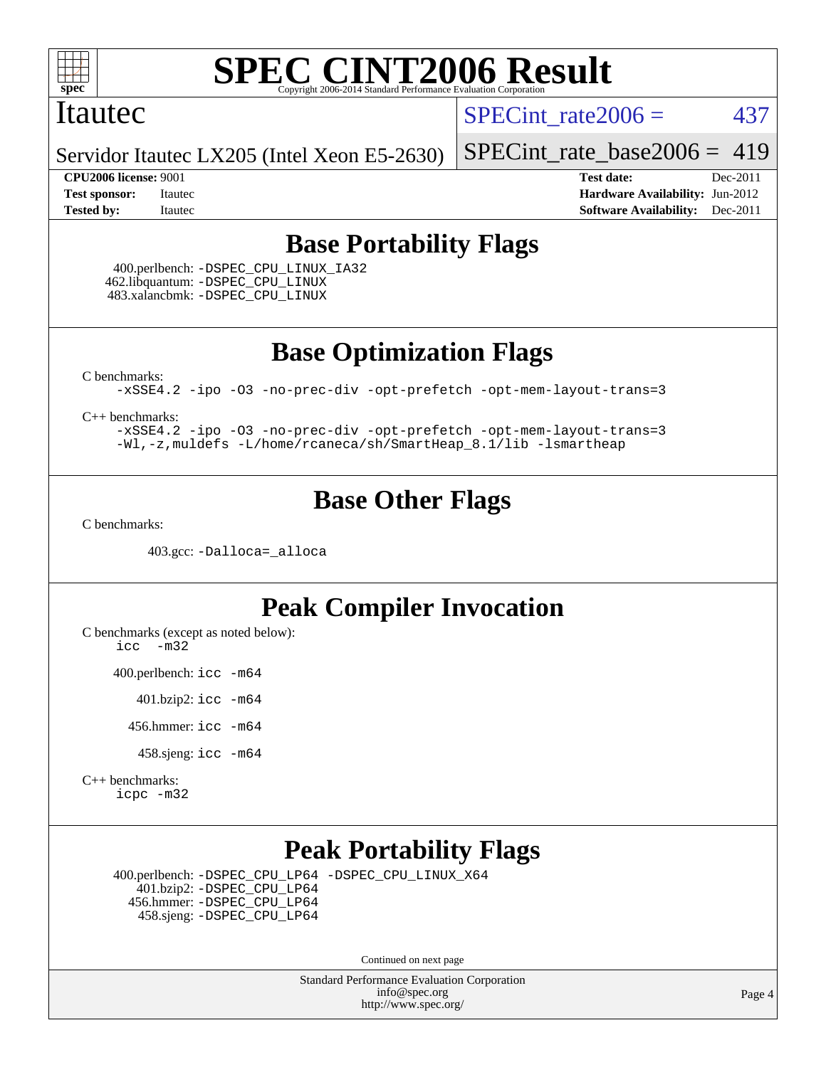

#### Itautec

SPECint rate $2006 = 437$ 

Servidor Itautec LX205 (Intel Xeon E5-2630)

**[CPU2006 license:](http://www.spec.org/auto/cpu2006/Docs/result-fields.html#CPU2006license)** 9001 **[Test date:](http://www.spec.org/auto/cpu2006/Docs/result-fields.html#Testdate)** Dec-2011

[SPECint\\_rate\\_base2006 =](http://www.spec.org/auto/cpu2006/Docs/result-fields.html#SPECintratebase2006) 419

**[Test sponsor:](http://www.spec.org/auto/cpu2006/Docs/result-fields.html#Testsponsor)** Itautec **[Hardware Availability:](http://www.spec.org/auto/cpu2006/Docs/result-fields.html#HardwareAvailability)** Jun-2012 **[Tested by:](http://www.spec.org/auto/cpu2006/Docs/result-fields.html#Testedby)** Itautec **Italien Contract Contract Contract Contract Contract Contract Contract Contract Contract Contract Contract Contract Contract Contract Contract Contract Contract Contract Contract Contract Contract Con** 

## **[Base Portability Flags](http://www.spec.org/auto/cpu2006/Docs/result-fields.html#BasePortabilityFlags)**

 400.perlbench: [-DSPEC\\_CPU\\_LINUX\\_IA32](http://www.spec.org/cpu2006/results/res2012q3/cpu2006-20120904-24408.flags.html#b400.perlbench_baseCPORTABILITY_DSPEC_CPU_LINUX_IA32) 462.libquantum: [-DSPEC\\_CPU\\_LINUX](http://www.spec.org/cpu2006/results/res2012q3/cpu2006-20120904-24408.flags.html#b462.libquantum_baseCPORTABILITY_DSPEC_CPU_LINUX) 483.xalancbmk: [-DSPEC\\_CPU\\_LINUX](http://www.spec.org/cpu2006/results/res2012q3/cpu2006-20120904-24408.flags.html#b483.xalancbmk_baseCXXPORTABILITY_DSPEC_CPU_LINUX)

**[Base Optimization Flags](http://www.spec.org/auto/cpu2006/Docs/result-fields.html#BaseOptimizationFlags)**

[C benchmarks](http://www.spec.org/auto/cpu2006/Docs/result-fields.html#Cbenchmarks):

[-xSSE4.2](http://www.spec.org/cpu2006/results/res2012q3/cpu2006-20120904-24408.flags.html#user_CCbase_f-xSSE42_f91528193cf0b216347adb8b939d4107) [-ipo](http://www.spec.org/cpu2006/results/res2012q3/cpu2006-20120904-24408.flags.html#user_CCbase_f-ipo) [-O3](http://www.spec.org/cpu2006/results/res2012q3/cpu2006-20120904-24408.flags.html#user_CCbase_f-O3) [-no-prec-div](http://www.spec.org/cpu2006/results/res2012q3/cpu2006-20120904-24408.flags.html#user_CCbase_f-no-prec-div) [-opt-prefetch](http://www.spec.org/cpu2006/results/res2012q3/cpu2006-20120904-24408.flags.html#user_CCbase_f-opt-prefetch) [-opt-mem-layout-trans=3](http://www.spec.org/cpu2006/results/res2012q3/cpu2006-20120904-24408.flags.html#user_CCbase_f-opt-mem-layout-trans_a7b82ad4bd7abf52556d4961a2ae94d5)

[C++ benchmarks:](http://www.spec.org/auto/cpu2006/Docs/result-fields.html#CXXbenchmarks)

[-xSSE4.2](http://www.spec.org/cpu2006/results/res2012q3/cpu2006-20120904-24408.flags.html#user_CXXbase_f-xSSE42_f91528193cf0b216347adb8b939d4107) [-ipo](http://www.spec.org/cpu2006/results/res2012q3/cpu2006-20120904-24408.flags.html#user_CXXbase_f-ipo) [-O3](http://www.spec.org/cpu2006/results/res2012q3/cpu2006-20120904-24408.flags.html#user_CXXbase_f-O3) [-no-prec-div](http://www.spec.org/cpu2006/results/res2012q3/cpu2006-20120904-24408.flags.html#user_CXXbase_f-no-prec-div) [-opt-prefetch](http://www.spec.org/cpu2006/results/res2012q3/cpu2006-20120904-24408.flags.html#user_CXXbase_f-opt-prefetch) [-opt-mem-layout-trans=3](http://www.spec.org/cpu2006/results/res2012q3/cpu2006-20120904-24408.flags.html#user_CXXbase_f-opt-mem-layout-trans_a7b82ad4bd7abf52556d4961a2ae94d5) [-Wl,-z,muldefs](http://www.spec.org/cpu2006/results/res2012q3/cpu2006-20120904-24408.flags.html#user_CXXbase_link_force_multiple1_74079c344b956b9658436fd1b6dd3a8a) [-L/home/rcaneca/sh/SmartHeap\\_8.1/lib -lsmartheap](http://www.spec.org/cpu2006/results/res2012q3/cpu2006-20120904-24408.flags.html#user_CXXbase_SmartHeap_0f3a9c58980a95eacf4c6b7a458c149d)

## **[Base Other Flags](http://www.spec.org/auto/cpu2006/Docs/result-fields.html#BaseOtherFlags)**

[C benchmarks](http://www.spec.org/auto/cpu2006/Docs/result-fields.html#Cbenchmarks):

403.gcc: [-Dalloca=\\_alloca](http://www.spec.org/cpu2006/results/res2012q3/cpu2006-20120904-24408.flags.html#b403.gcc_baseEXTRA_CFLAGS_Dalloca_be3056838c12de2578596ca5467af7f3)

## **[Peak Compiler Invocation](http://www.spec.org/auto/cpu2006/Docs/result-fields.html#PeakCompilerInvocation)**

[C benchmarks \(except as noted below\)](http://www.spec.org/auto/cpu2006/Docs/result-fields.html#Cbenchmarksexceptasnotedbelow):

[icc -m32](http://www.spec.org/cpu2006/results/res2012q3/cpu2006-20120904-24408.flags.html#user_CCpeak_intel_icc_5ff4a39e364c98233615fdd38438c6f2)

400.perlbench: [icc -m64](http://www.spec.org/cpu2006/results/res2012q3/cpu2006-20120904-24408.flags.html#user_peakCCLD400_perlbench_intel_icc_64bit_bda6cc9af1fdbb0edc3795bac97ada53)

401.bzip2: [icc -m64](http://www.spec.org/cpu2006/results/res2012q3/cpu2006-20120904-24408.flags.html#user_peakCCLD401_bzip2_intel_icc_64bit_bda6cc9af1fdbb0edc3795bac97ada53)

456.hmmer: [icc -m64](http://www.spec.org/cpu2006/results/res2012q3/cpu2006-20120904-24408.flags.html#user_peakCCLD456_hmmer_intel_icc_64bit_bda6cc9af1fdbb0edc3795bac97ada53)

458.sjeng: [icc -m64](http://www.spec.org/cpu2006/results/res2012q3/cpu2006-20120904-24408.flags.html#user_peakCCLD458_sjeng_intel_icc_64bit_bda6cc9af1fdbb0edc3795bac97ada53)

[C++ benchmarks:](http://www.spec.org/auto/cpu2006/Docs/result-fields.html#CXXbenchmarks) [icpc -m32](http://www.spec.org/cpu2006/results/res2012q3/cpu2006-20120904-24408.flags.html#user_CXXpeak_intel_icpc_4e5a5ef1a53fd332b3c49e69c3330699)

## **[Peak Portability Flags](http://www.spec.org/auto/cpu2006/Docs/result-fields.html#PeakPortabilityFlags)**

 400.perlbench: [-DSPEC\\_CPU\\_LP64](http://www.spec.org/cpu2006/results/res2012q3/cpu2006-20120904-24408.flags.html#b400.perlbench_peakCPORTABILITY_DSPEC_CPU_LP64) [-DSPEC\\_CPU\\_LINUX\\_X64](http://www.spec.org/cpu2006/results/res2012q3/cpu2006-20120904-24408.flags.html#b400.perlbench_peakCPORTABILITY_DSPEC_CPU_LINUX_X64) 401.bzip2: [-DSPEC\\_CPU\\_LP64](http://www.spec.org/cpu2006/results/res2012q3/cpu2006-20120904-24408.flags.html#suite_peakCPORTABILITY401_bzip2_DSPEC_CPU_LP64) 456.hmmer: [-DSPEC\\_CPU\\_LP64](http://www.spec.org/cpu2006/results/res2012q3/cpu2006-20120904-24408.flags.html#suite_peakCPORTABILITY456_hmmer_DSPEC_CPU_LP64) 458.sjeng: [-DSPEC\\_CPU\\_LP64](http://www.spec.org/cpu2006/results/res2012q3/cpu2006-20120904-24408.flags.html#suite_peakCPORTABILITY458_sjeng_DSPEC_CPU_LP64)

Continued on next page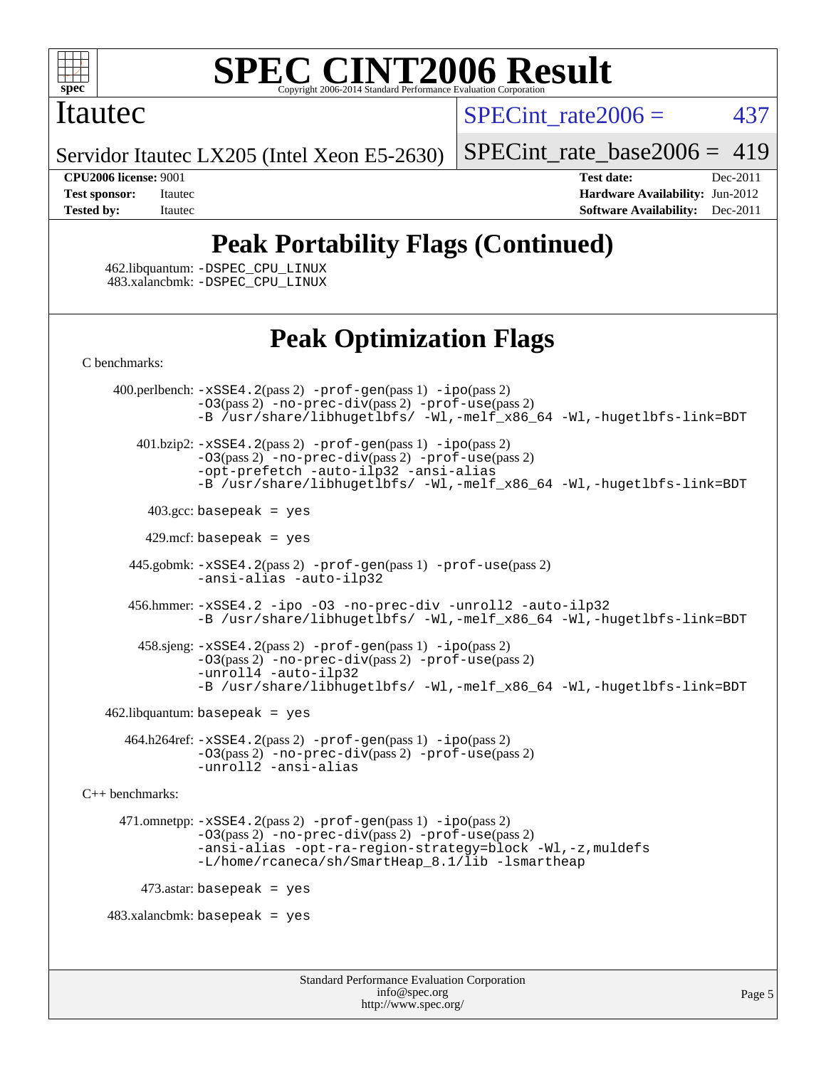

#### **[SPEC CINT2006 Result](http://www.spec.org/auto/cpu2006/Docs/result-fields.html#SPECCINT2006Result)** Copyright 2006-2014 Standard Performance Evaluation C

## Itautec

SPECint rate $2006 = 437$ 

Servidor Itautec LX205 (Intel Xeon E5-2630)

[SPECint\\_rate\\_base2006 =](http://www.spec.org/auto/cpu2006/Docs/result-fields.html#SPECintratebase2006) 419

**[CPU2006 license:](http://www.spec.org/auto/cpu2006/Docs/result-fields.html#CPU2006license)** 9001 **[Test date:](http://www.spec.org/auto/cpu2006/Docs/result-fields.html#Testdate)** Dec-2011 **[Test sponsor:](http://www.spec.org/auto/cpu2006/Docs/result-fields.html#Testsponsor)** Itautec **[Hardware Availability:](http://www.spec.org/auto/cpu2006/Docs/result-fields.html#HardwareAvailability)** Jun-2012 **[Tested by:](http://www.spec.org/auto/cpu2006/Docs/result-fields.html#Testedby)** Itautec **[Software Availability:](http://www.spec.org/auto/cpu2006/Docs/result-fields.html#SoftwareAvailability)** Dec-2011

# **[Peak Portability Flags \(Continued\)](http://www.spec.org/auto/cpu2006/Docs/result-fields.html#PeakPortabilityFlags)**

 462.libquantum: [-DSPEC\\_CPU\\_LINUX](http://www.spec.org/cpu2006/results/res2012q3/cpu2006-20120904-24408.flags.html#b462.libquantum_peakCPORTABILITY_DSPEC_CPU_LINUX) 483.xalancbmk: [-DSPEC\\_CPU\\_LINUX](http://www.spec.org/cpu2006/results/res2012q3/cpu2006-20120904-24408.flags.html#b483.xalancbmk_peakCXXPORTABILITY_DSPEC_CPU_LINUX)

# **[Peak Optimization Flags](http://www.spec.org/auto/cpu2006/Docs/result-fields.html#PeakOptimizationFlags)**

[C benchmarks](http://www.spec.org/auto/cpu2006/Docs/result-fields.html#Cbenchmarks):

Standard Performance Evaluation Corporation [info@spec.org](mailto:info@spec.org) 400.perlbench: [-xSSE4.2](http://www.spec.org/cpu2006/results/res2012q3/cpu2006-20120904-24408.flags.html#user_peakPASS2_CFLAGSPASS2_LDCFLAGS400_perlbench_f-xSSE42_f91528193cf0b216347adb8b939d4107)(pass 2) [-prof-gen](http://www.spec.org/cpu2006/results/res2012q3/cpu2006-20120904-24408.flags.html#user_peakPASS1_CFLAGSPASS1_LDCFLAGS400_perlbench_prof_gen_e43856698f6ca7b7e442dfd80e94a8fc)(pass 1) [-ipo](http://www.spec.org/cpu2006/results/res2012q3/cpu2006-20120904-24408.flags.html#user_peakPASS2_CFLAGSPASS2_LDCFLAGS400_perlbench_f-ipo)(pass 2) [-O3](http://www.spec.org/cpu2006/results/res2012q3/cpu2006-20120904-24408.flags.html#user_peakPASS2_CFLAGSPASS2_LDCFLAGS400_perlbench_f-O3)(pass 2) [-no-prec-div](http://www.spec.org/cpu2006/results/res2012q3/cpu2006-20120904-24408.flags.html#user_peakPASS2_CFLAGSPASS2_LDCFLAGS400_perlbench_f-no-prec-div)(pass 2) [-prof-use](http://www.spec.org/cpu2006/results/res2012q3/cpu2006-20120904-24408.flags.html#user_peakPASS2_CFLAGSPASS2_LDCFLAGS400_perlbench_prof_use_bccf7792157ff70d64e32fe3e1250b55)(pass 2) [-B /usr/share/libhugetlbfs/ -Wl,-melf\\_x86\\_64 -Wl,-hugetlbfs-link=BDT](http://www.spec.org/cpu2006/results/res2012q3/cpu2006-20120904-24408.flags.html#user_peakPASS1_LDOPTPASS2_LDOPT400_perlbench_link_for_large_pages_64bit_fe1717234df9d3a8c8833ff77218828e) 401.bzip2: [-xSSE4.2](http://www.spec.org/cpu2006/results/res2012q3/cpu2006-20120904-24408.flags.html#user_peakPASS2_CFLAGSPASS2_LDCFLAGS401_bzip2_f-xSSE42_f91528193cf0b216347adb8b939d4107)(pass 2) [-prof-gen](http://www.spec.org/cpu2006/results/res2012q3/cpu2006-20120904-24408.flags.html#user_peakPASS1_CFLAGSPASS1_LDCFLAGS401_bzip2_prof_gen_e43856698f6ca7b7e442dfd80e94a8fc)(pass 1) [-ipo](http://www.spec.org/cpu2006/results/res2012q3/cpu2006-20120904-24408.flags.html#user_peakPASS2_CFLAGSPASS2_LDCFLAGS401_bzip2_f-ipo)(pass 2) [-O3](http://www.spec.org/cpu2006/results/res2012q3/cpu2006-20120904-24408.flags.html#user_peakPASS2_CFLAGSPASS2_LDCFLAGS401_bzip2_f-O3)(pass 2) [-no-prec-div](http://www.spec.org/cpu2006/results/res2012q3/cpu2006-20120904-24408.flags.html#user_peakPASS2_CFLAGSPASS2_LDCFLAGS401_bzip2_f-no-prec-div)(pass 2) [-prof-use](http://www.spec.org/cpu2006/results/res2012q3/cpu2006-20120904-24408.flags.html#user_peakPASS2_CFLAGSPASS2_LDCFLAGS401_bzip2_prof_use_bccf7792157ff70d64e32fe3e1250b55)(pass 2) [-opt-prefetch](http://www.spec.org/cpu2006/results/res2012q3/cpu2006-20120904-24408.flags.html#user_peakCOPTIMIZE401_bzip2_f-opt-prefetch) [-auto-ilp32](http://www.spec.org/cpu2006/results/res2012q3/cpu2006-20120904-24408.flags.html#user_peakCOPTIMIZE401_bzip2_f-auto-ilp32) [-ansi-alias](http://www.spec.org/cpu2006/results/res2012q3/cpu2006-20120904-24408.flags.html#user_peakCOPTIMIZE401_bzip2_f-ansi-alias) [-B /usr/share/libhugetlbfs/ -Wl,-melf\\_x86\\_64 -Wl,-hugetlbfs-link=BDT](http://www.spec.org/cpu2006/results/res2012q3/cpu2006-20120904-24408.flags.html#user_peakPASS1_LDOPTPASS2_LDOPT401_bzip2_link_for_large_pages_64bit_fe1717234df9d3a8c8833ff77218828e)  $403.\text{gcc: basepeak}$  = yes 429.mcf: basepeak = yes 445.gobmk: [-xSSE4.2](http://www.spec.org/cpu2006/results/res2012q3/cpu2006-20120904-24408.flags.html#user_peakPASS2_CFLAGSPASS2_LDCFLAGS445_gobmk_f-xSSE42_f91528193cf0b216347adb8b939d4107)(pass 2) [-prof-gen](http://www.spec.org/cpu2006/results/res2012q3/cpu2006-20120904-24408.flags.html#user_peakPASS1_CFLAGSPASS1_LDCFLAGS445_gobmk_prof_gen_e43856698f6ca7b7e442dfd80e94a8fc)(pass 1) [-prof-use](http://www.spec.org/cpu2006/results/res2012q3/cpu2006-20120904-24408.flags.html#user_peakPASS2_CFLAGSPASS2_LDCFLAGS445_gobmk_prof_use_bccf7792157ff70d64e32fe3e1250b55)(pass 2) [-ansi-alias](http://www.spec.org/cpu2006/results/res2012q3/cpu2006-20120904-24408.flags.html#user_peakCOPTIMIZE445_gobmk_f-ansi-alias) [-auto-ilp32](http://www.spec.org/cpu2006/results/res2012q3/cpu2006-20120904-24408.flags.html#user_peakCOPTIMIZE445_gobmk_f-auto-ilp32) 456.hmmer: [-xSSE4.2](http://www.spec.org/cpu2006/results/res2012q3/cpu2006-20120904-24408.flags.html#user_peakCOPTIMIZE456_hmmer_f-xSSE42_f91528193cf0b216347adb8b939d4107) [-ipo](http://www.spec.org/cpu2006/results/res2012q3/cpu2006-20120904-24408.flags.html#user_peakCOPTIMIZE456_hmmer_f-ipo) [-O3](http://www.spec.org/cpu2006/results/res2012q3/cpu2006-20120904-24408.flags.html#user_peakCOPTIMIZE456_hmmer_f-O3) [-no-prec-div](http://www.spec.org/cpu2006/results/res2012q3/cpu2006-20120904-24408.flags.html#user_peakCOPTIMIZE456_hmmer_f-no-prec-div) [-unroll2](http://www.spec.org/cpu2006/results/res2012q3/cpu2006-20120904-24408.flags.html#user_peakCOPTIMIZE456_hmmer_f-unroll_784dae83bebfb236979b41d2422d7ec2) [-auto-ilp32](http://www.spec.org/cpu2006/results/res2012q3/cpu2006-20120904-24408.flags.html#user_peakCOPTIMIZE456_hmmer_f-auto-ilp32) [-B /usr/share/libhugetlbfs/ -Wl,-melf\\_x86\\_64 -Wl,-hugetlbfs-link=BDT](http://www.spec.org/cpu2006/results/res2012q3/cpu2006-20120904-24408.flags.html#user_peakLDOPT456_hmmer_link_for_large_pages_64bit_fe1717234df9d3a8c8833ff77218828e) 458.sjeng: [-xSSE4.2](http://www.spec.org/cpu2006/results/res2012q3/cpu2006-20120904-24408.flags.html#user_peakPASS2_CFLAGSPASS2_LDCFLAGS458_sjeng_f-xSSE42_f91528193cf0b216347adb8b939d4107)(pass 2) [-prof-gen](http://www.spec.org/cpu2006/results/res2012q3/cpu2006-20120904-24408.flags.html#user_peakPASS1_CFLAGSPASS1_LDCFLAGS458_sjeng_prof_gen_e43856698f6ca7b7e442dfd80e94a8fc)(pass 1) [-ipo](http://www.spec.org/cpu2006/results/res2012q3/cpu2006-20120904-24408.flags.html#user_peakPASS2_CFLAGSPASS2_LDCFLAGS458_sjeng_f-ipo)(pass 2) [-O3](http://www.spec.org/cpu2006/results/res2012q3/cpu2006-20120904-24408.flags.html#user_peakPASS2_CFLAGSPASS2_LDCFLAGS458_sjeng_f-O3)(pass 2) [-no-prec-div](http://www.spec.org/cpu2006/results/res2012q3/cpu2006-20120904-24408.flags.html#user_peakPASS2_CFLAGSPASS2_LDCFLAGS458_sjeng_f-no-prec-div)(pass 2) [-prof-use](http://www.spec.org/cpu2006/results/res2012q3/cpu2006-20120904-24408.flags.html#user_peakPASS2_CFLAGSPASS2_LDCFLAGS458_sjeng_prof_use_bccf7792157ff70d64e32fe3e1250b55)(pass 2) [-unroll4](http://www.spec.org/cpu2006/results/res2012q3/cpu2006-20120904-24408.flags.html#user_peakCOPTIMIZE458_sjeng_f-unroll_4e5e4ed65b7fd20bdcd365bec371b81f) [-auto-ilp32](http://www.spec.org/cpu2006/results/res2012q3/cpu2006-20120904-24408.flags.html#user_peakCOPTIMIZE458_sjeng_f-auto-ilp32) [-B /usr/share/libhugetlbfs/ -Wl,-melf\\_x86\\_64 -Wl,-hugetlbfs-link=BDT](http://www.spec.org/cpu2006/results/res2012q3/cpu2006-20120904-24408.flags.html#user_peakPASS1_LDOPTPASS2_LDOPT458_sjeng_link_for_large_pages_64bit_fe1717234df9d3a8c8833ff77218828e)  $462$ .libquantum: basepeak = yes 464.h264ref: [-xSSE4.2](http://www.spec.org/cpu2006/results/res2012q3/cpu2006-20120904-24408.flags.html#user_peakPASS2_CFLAGSPASS2_LDCFLAGS464_h264ref_f-xSSE42_f91528193cf0b216347adb8b939d4107)(pass 2) [-prof-gen](http://www.spec.org/cpu2006/results/res2012q3/cpu2006-20120904-24408.flags.html#user_peakPASS1_CFLAGSPASS1_LDCFLAGS464_h264ref_prof_gen_e43856698f6ca7b7e442dfd80e94a8fc)(pass 1) [-ipo](http://www.spec.org/cpu2006/results/res2012q3/cpu2006-20120904-24408.flags.html#user_peakPASS2_CFLAGSPASS2_LDCFLAGS464_h264ref_f-ipo)(pass 2) [-O3](http://www.spec.org/cpu2006/results/res2012q3/cpu2006-20120904-24408.flags.html#user_peakPASS2_CFLAGSPASS2_LDCFLAGS464_h264ref_f-O3)(pass 2) [-no-prec-div](http://www.spec.org/cpu2006/results/res2012q3/cpu2006-20120904-24408.flags.html#user_peakPASS2_CFLAGSPASS2_LDCFLAGS464_h264ref_f-no-prec-div)(pass 2) [-prof-use](http://www.spec.org/cpu2006/results/res2012q3/cpu2006-20120904-24408.flags.html#user_peakPASS2_CFLAGSPASS2_LDCFLAGS464_h264ref_prof_use_bccf7792157ff70d64e32fe3e1250b55)(pass 2) [-unroll2](http://www.spec.org/cpu2006/results/res2012q3/cpu2006-20120904-24408.flags.html#user_peakCOPTIMIZE464_h264ref_f-unroll_784dae83bebfb236979b41d2422d7ec2) [-ansi-alias](http://www.spec.org/cpu2006/results/res2012q3/cpu2006-20120904-24408.flags.html#user_peakCOPTIMIZE464_h264ref_f-ansi-alias) [C++ benchmarks:](http://www.spec.org/auto/cpu2006/Docs/result-fields.html#CXXbenchmarks) 471.omnetpp: [-xSSE4.2](http://www.spec.org/cpu2006/results/res2012q3/cpu2006-20120904-24408.flags.html#user_peakPASS2_CXXFLAGSPASS2_LDCXXFLAGS471_omnetpp_f-xSSE42_f91528193cf0b216347adb8b939d4107)(pass 2) [-prof-gen](http://www.spec.org/cpu2006/results/res2012q3/cpu2006-20120904-24408.flags.html#user_peakPASS1_CXXFLAGSPASS1_LDCXXFLAGS471_omnetpp_prof_gen_e43856698f6ca7b7e442dfd80e94a8fc)(pass 1) [-ipo](http://www.spec.org/cpu2006/results/res2012q3/cpu2006-20120904-24408.flags.html#user_peakPASS2_CXXFLAGSPASS2_LDCXXFLAGS471_omnetpp_f-ipo)(pass 2) [-O3](http://www.spec.org/cpu2006/results/res2012q3/cpu2006-20120904-24408.flags.html#user_peakPASS2_CXXFLAGSPASS2_LDCXXFLAGS471_omnetpp_f-O3)(pass 2) [-no-prec-div](http://www.spec.org/cpu2006/results/res2012q3/cpu2006-20120904-24408.flags.html#user_peakPASS2_CXXFLAGSPASS2_LDCXXFLAGS471_omnetpp_f-no-prec-div)(pass 2) [-prof-use](http://www.spec.org/cpu2006/results/res2012q3/cpu2006-20120904-24408.flags.html#user_peakPASS2_CXXFLAGSPASS2_LDCXXFLAGS471_omnetpp_prof_use_bccf7792157ff70d64e32fe3e1250b55)(pass 2) [-ansi-alias](http://www.spec.org/cpu2006/results/res2012q3/cpu2006-20120904-24408.flags.html#user_peakCXXOPTIMIZE471_omnetpp_f-ansi-alias) [-opt-ra-region-strategy=block](http://www.spec.org/cpu2006/results/res2012q3/cpu2006-20120904-24408.flags.html#user_peakCXXOPTIMIZE471_omnetpp_f-opt-ra-region-strategy_a0a37c372d03933b2a18d4af463c1f69) [-Wl,-z,muldefs](http://www.spec.org/cpu2006/results/res2012q3/cpu2006-20120904-24408.flags.html#user_peakEXTRA_LDFLAGS471_omnetpp_link_force_multiple1_74079c344b956b9658436fd1b6dd3a8a) [-L/home/rcaneca/sh/SmartHeap\\_8.1/lib -lsmartheap](http://www.spec.org/cpu2006/results/res2012q3/cpu2006-20120904-24408.flags.html#user_peakEXTRA_LIBS471_omnetpp_SmartHeap_0f3a9c58980a95eacf4c6b7a458c149d)  $473$ .astar: basepeak = yes  $483.xalanchmk: basepeak = yes$ 

<http://www.spec.org/>